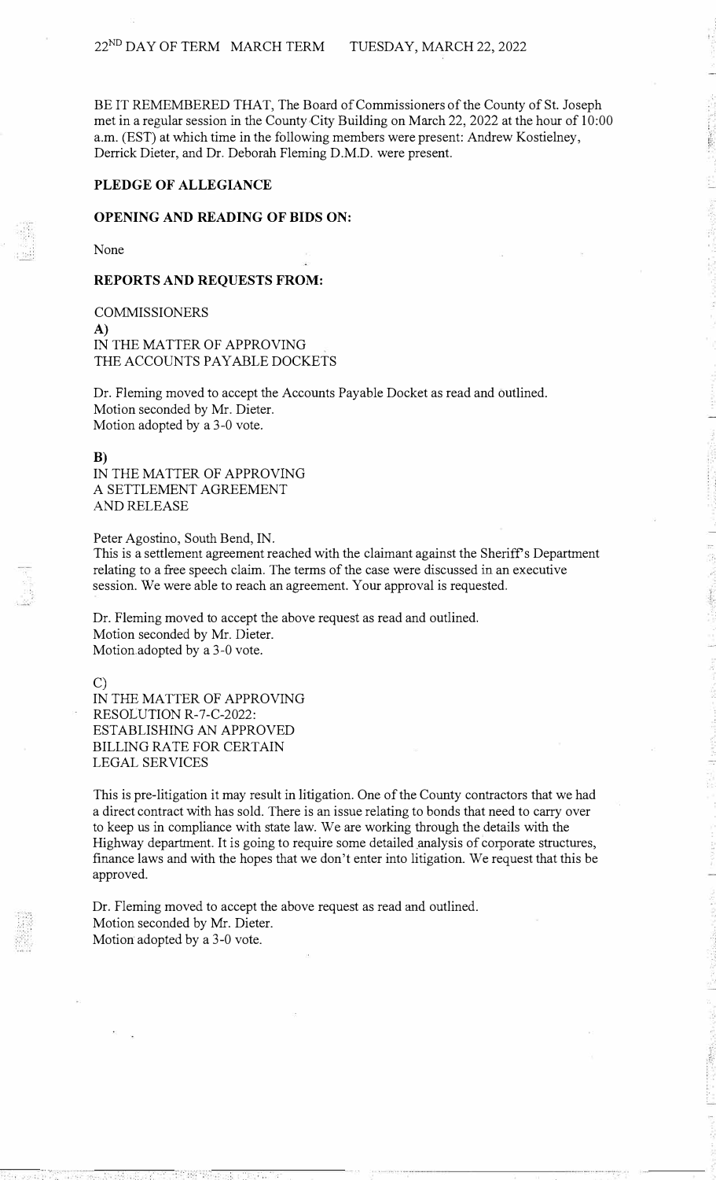BE IT REMEMBERED THAT, The Board of Commissioners of the County of St. Joseph met in a regular session in the County City Building on March 22, 2022 at the hour of 10:00 a.m. (EST) at which time in the following members were present: Andrew Kostielney, Derrick Dieter, and Dr. Deborah Fleming D.M.D. were present.

## **PLEDGE OF ALLEGIANCE**

### **OPENING AND READING OF BIDS ON:**

None

### **REPORTS AND REQUESTS FROM:**

COMMISSIONERS A) IN THE MATTER OF APPROVING THE ACCOUNTS PAY ABLE DOCKETS

Dr. Fleming moved to accept the Accounts Payable Docket as read and outlined. Motion seconded by Mr. Dieter. Motion adopted by a 3-0 vote.

#### **B)**

IN THE MATTER OF APPROVING A SETTLEMENT AGREEMENT AND RELEASE

Peter Agostino, South Bend, IN.

This is a settlement agreement reached with the claimant against the Sheriff's Department relating to a free speech claim. The terms of the case were discussed in an executive session. We were able to reach an agreement. Your approval is requested.

Dr. Fleming moved to accept the above request as read and outlined. Motion seconded by Mr. Dieter. Motion adopted by a 3-0 vote.

C)

IN THE MATTER OF APPROVING RESOLUTION R-7-C-2022: ESTABLISHING AN APPROVED BILLING RATE FOR CERTAIN LEGAL SERVICES

This is pre-litigation it may result in litigation. One of the County contractors that we had a direct contract with has sold. There is an issue relating to bonds that need to carry over to keep us in compliance with state law. We are working through the details with the Highway department. It is going to require some detailed analysis of corporate structures, finance laws and with the hopes that we don't enter into litigation. We request that this be approved.

Dr. Fleming moved to accept the above request as read and outlined. Motion seconded by Mr. Dieter. Motion adopted by a 3-0 vote.